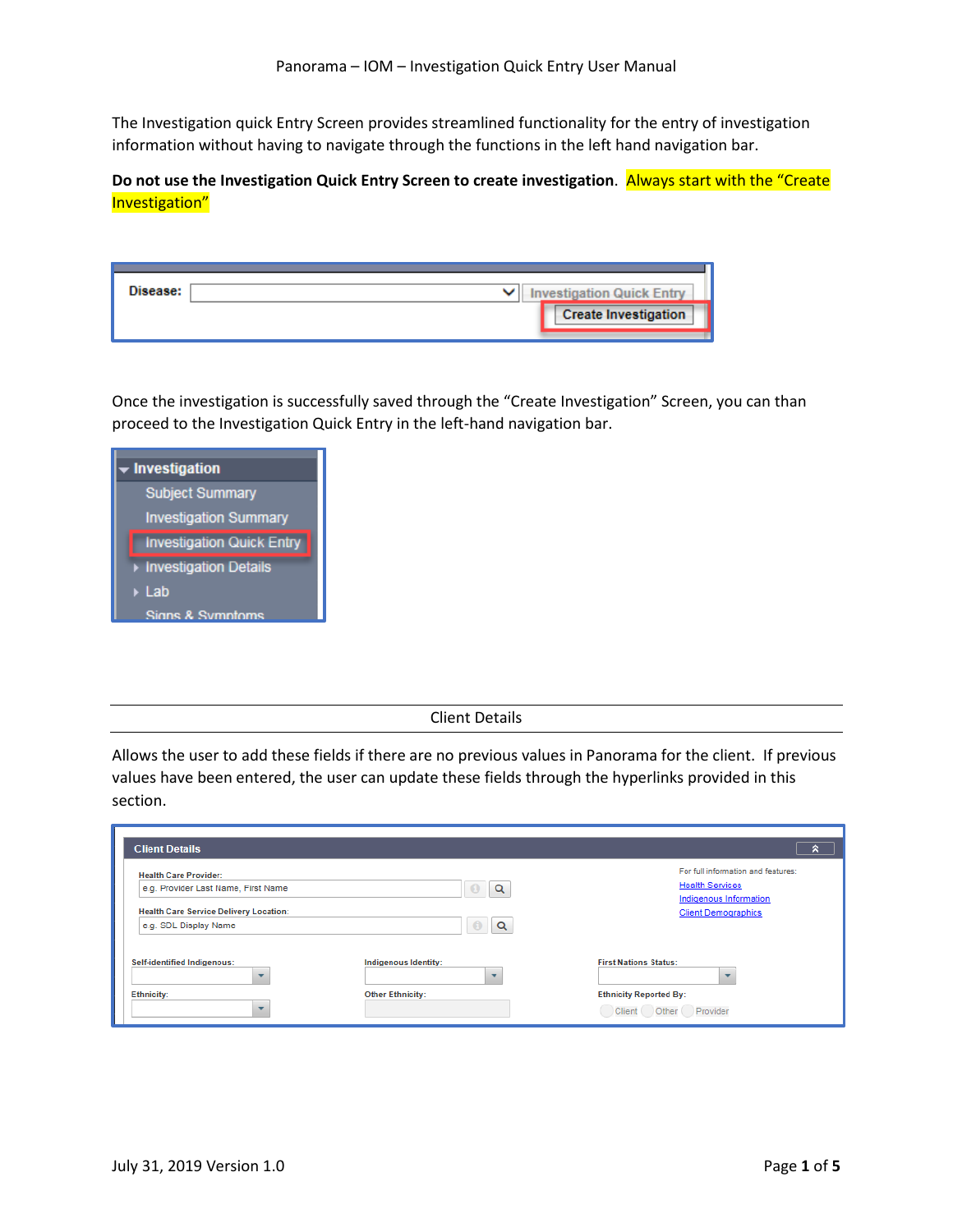The Investigation quick Entry Screen provides streamlined functionality for the entry of investigation information without having to navigate through the functions in the left hand navigation bar.

**Do not use the Investigation Quick Entry Screen to create investigation**. Always start with the "Create Investigation"

| Disease: | <b>Investigation Quick Entry</b> |
|----------|----------------------------------|
|          | <b>Create Investigation</b>      |

Once the investigation is successfully saved through the "Create Investigation" Screen, you can than proceed to the Investigation Quick Entry in the left-hand navigation bar.

| • Investigation                  |  |  |
|----------------------------------|--|--|
| <b>Subject Summary</b>           |  |  |
| <b>Investigation Summary</b>     |  |  |
| <b>Investigation Quick Entry</b> |  |  |
| Investigation Details            |  |  |
| ▶ Lab                            |  |  |
| Signs & Symptoms                 |  |  |

Client Details

Allows the user to add these fields if there are no previous values in Panorama for the client. If previous values have been entered, the user can update these fields through the hyperlinks provided in this section.

| <b>Client Details</b>                                                                                                                         |                             | R                                                                                                                    |
|-----------------------------------------------------------------------------------------------------------------------------------------------|-----------------------------|----------------------------------------------------------------------------------------------------------------------|
| <b>Health Care Provider:</b><br>e.g. Provider Last Name, First Name<br><b>Health Care Service Delivery Location:</b><br>e.g. SDL Display Name | Q<br>$\mathbf{U}$<br>Q<br>ω | For full information and features:<br><b>Health Services</b><br>Indigenous Information<br><b>Client Demographics</b> |
| <b>Self-identified Indigenous:</b><br><b>Ethnicity:</b>                                                                                       | Indigenous Identity:        | <b>First Nations Status:</b>                                                                                         |
|                                                                                                                                               | <b>Other Ethnicity:</b>     | <b>Ethnicity Reported By:</b><br>Provider<br>Client (<br>Other ( )                                                   |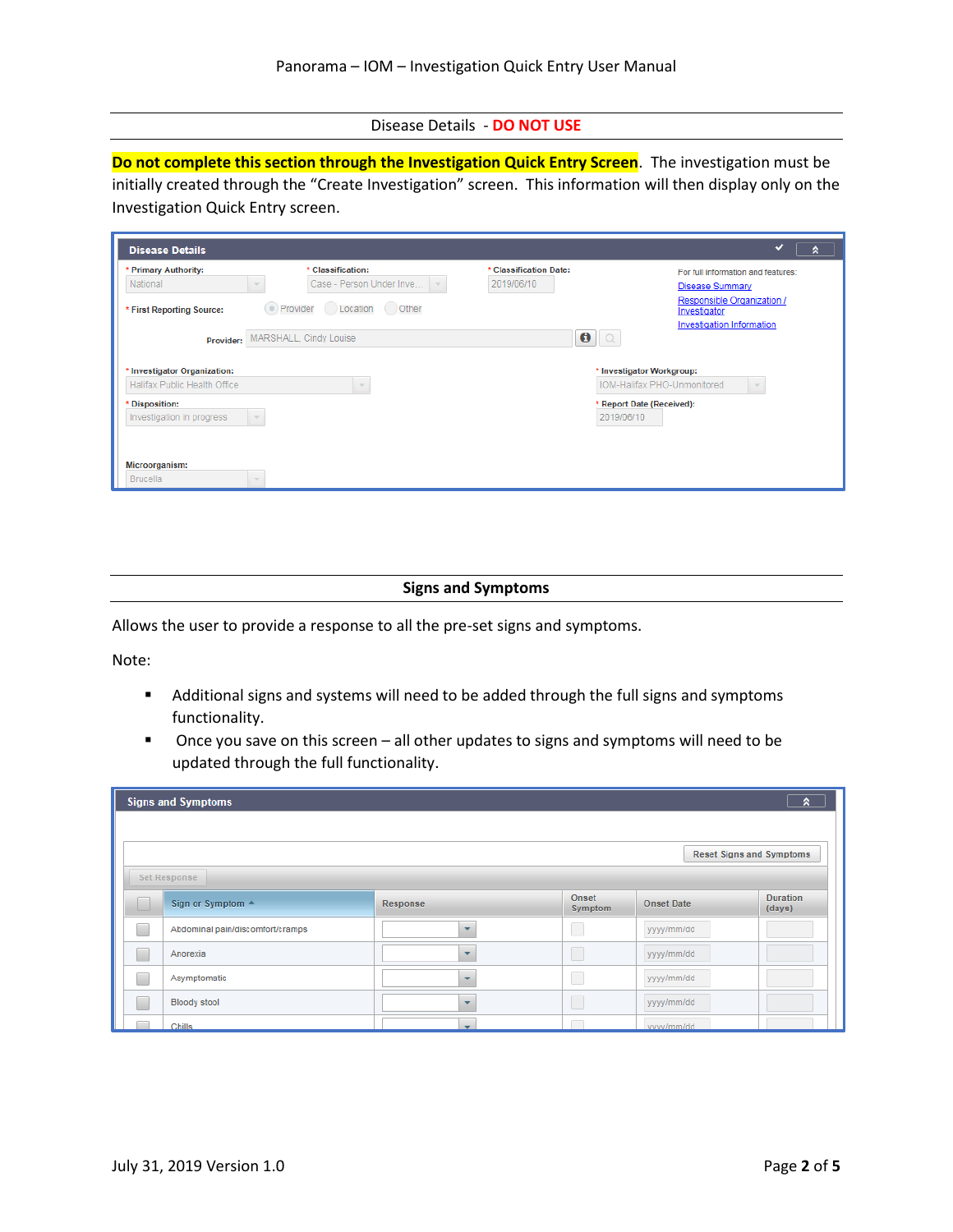Disease Details - **DO NOT USE**

**Do not complete this section through the Investigation Quick Entry Screen**. The investigation must be initially created through the "Create Investigation" screen. This information will then display only on the Investigation Quick Entry screen.

| <b>Disease Details</b>           |                                                                      |                                      | ✔<br>٨                                                                         |
|----------------------------------|----------------------------------------------------------------------|--------------------------------------|--------------------------------------------------------------------------------|
| * Primary Authority:<br>National | * Classification:<br>Case - Person Under Inve<br>$\overline{\nabla}$ | * Classification Date:<br>2019/06/10 | For full information and features:<br><b>Disease Summary</b>                   |
| * First Reporting Source:        | ● Provider Location Other                                            |                                      | Responsible Organization /<br>Investigator<br><b>Investigation Information</b> |
| Provider:                        | MARSHALL, Cindy Louise                                               | $\boldsymbol{\theta}$                |                                                                                |
| * Investigator Organization:     |                                                                      |                                      | * Investigator Workgroup:                                                      |
| Halifax Public Health Office     |                                                                      |                                      | IOM-Halifax PHO-Unmonitored                                                    |
| * Disposition:                   |                                                                      |                                      | * Report Date (Received):                                                      |
| Investigation in progress        |                                                                      |                                      | 2019/06/10                                                                     |
| Microorganism:                   |                                                                      |                                      |                                                                                |
| <b>Brucella</b>                  |                                                                      |                                      |                                                                                |

## **Signs and Symptoms**

Allows the user to provide a response to all the pre-set signs and symptoms.

Note:

- Additional signs and systems will need to be added through the full signs and symptoms functionality.
- Once you save on this screen all other updates to signs and symptoms will need to be updated through the full functionality.

| <b>Signs and Symptoms</b><br>R   |                          |                  |                   |                                 |  |  |
|----------------------------------|--------------------------|------------------|-------------------|---------------------------------|--|--|
|                                  |                          |                  |                   |                                 |  |  |
|                                  |                          |                  |                   | <b>Reset Signs and Symptoms</b> |  |  |
| Set Response                     |                          |                  |                   |                                 |  |  |
| Sign or Symptom -                | Response                 | Onset<br>Symptom | <b>Onset Date</b> | <b>Duration</b><br>(days)       |  |  |
| Abdominal pain/discomfort/cramps | $\overline{\phantom{a}}$ | I.               | yyyy/mm/dd        |                                 |  |  |
| Anorexia                         | $\ddot{}$                | L                | yyyy/mm/dd        |                                 |  |  |
| Asymptomatic                     | $\overline{\phantom{a}}$ | ٦                | yyyy/mm/dd        |                                 |  |  |
| <b>Bloody stool</b>              | $\overline{\phantom{a}}$ |                  | yyyy/mm/dd        |                                 |  |  |
| Chills                           | ÷                        |                  | yyyy/mm/dd        |                                 |  |  |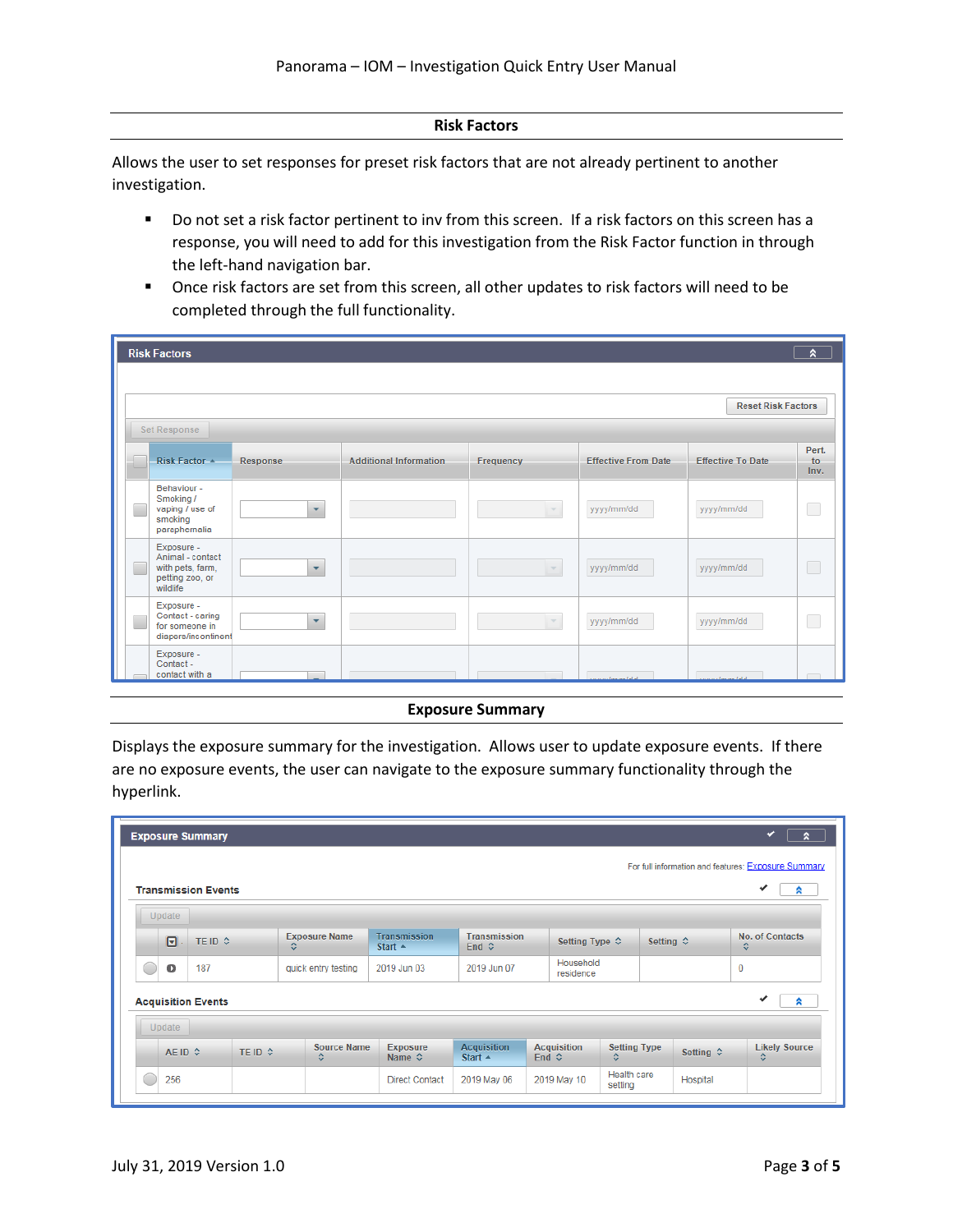## **Risk Factors**

Allows the user to set responses for preset risk factors that are not already pertinent to another investigation.

- Do not set a risk factor pertinent to inv from this screen. If a risk factors on this screen has a response, you will need to add for this investigation from the Risk Factor function in through the left-hand navigation bar.
- Once risk factors are set from this screen, all other updates to risk factors will need to be completed through the full functionality.

| <b>Risk Factors</b>                                                               |          |                               |           |                            |                           | ⋩                   |
|-----------------------------------------------------------------------------------|----------|-------------------------------|-----------|----------------------------|---------------------------|---------------------|
| <b>Set Response</b>                                                               |          |                               |           |                            | <b>Reset Risk Factors</b> |                     |
| Risk Factor                                                                       | Response | <b>Additional Information</b> | Frequency | <b>Effective From Date</b> | <b>Effective To Date</b>  | Pert.<br>to<br>Inv. |
| Behaviour -<br>Smoking /<br>vaping / use of<br>smoking<br>paraphernalia           | ٠        |                               |           | yyyy/mm/dd                 | yyyy/mm/dd                | □                   |
| Exposure -<br>Animal - contact<br>with pets, farm,<br>petting zoo, or<br>wildlife | ۰        |                               |           | yyyy/mm/dd                 | yyyy/mm/dd                | □                   |
| Exposure -<br>Contact - caring<br>for someone in<br>diapers/incontinent           | $\cdot$  |                               |           | yyyy/mm/dd                 | yyyy/mm/dd                | □                   |
| Exposure -<br>Contact -<br>contact with a                                         |          |                               |           | innulmmfeld                | www.lmm.ldd               |                     |

## **Exposure Summary**

Displays the exposure summary for the investigation. Allows user to update exposure events. If there are no exposure events, the user can navigate to the exposure summary functionality through the hyperlink.

|                        | <b>Exposure Summary</b>    |         |                           |                                           |                                              |                                             |                         |                          |                           |                           | ✓<br>a                                              |
|------------------------|----------------------------|---------|---------------------------|-------------------------------------------|----------------------------------------------|---------------------------------------------|-------------------------|--------------------------|---------------------------|---------------------------|-----------------------------------------------------|
|                        |                            |         |                           |                                           |                                              |                                             |                         |                          |                           |                           | For full information and features: Exposure Summary |
|                        | <b>Transmission Events</b> |         |                           |                                           |                                              |                                             |                         |                          |                           |                           | ✔<br>R.                                             |
| Update                 |                            |         |                           |                                           |                                              |                                             |                         |                          |                           |                           |                                                     |
| $\boldsymbol{\boxdot}$ | TE ID ↔                    |         | <b>Exposure Name</b><br>≎ | <b>Transmission</b><br>Start $\triangle$  | <b>Transmission</b><br>End $\Leftrightarrow$ |                                             | Setting Type $\Diamond$ |                          | Setting $\Leftrightarrow$ |                           | <b>No. of Contacts</b><br>≎                         |
| O                      | 187                        |         | quick entry testing       | 2019 Jun 03                               | 2019 Jun 07                                  |                                             | Household<br>residence  |                          |                           | $\mathbf{0}$              |                                                     |
|                        | <b>Acquisition Events</b>  |         |                           |                                           |                                              |                                             |                         |                          |                           |                           | ✔<br>இ                                              |
| Update                 |                            |         |                           |                                           |                                              |                                             |                         |                          |                           |                           |                                                     |
| AE ID ↔                |                            | TE ID ♦ | <b>Source Name</b><br>≎   | <b>Exposure</b><br>Name $\Leftrightarrow$ | <b>Acquisition</b><br>Start $\triangle$      | <b>Acquisition</b><br>End $\Leftrightarrow$ |                         | <b>Setting Type</b><br>≎ |                           | Setting $\Leftrightarrow$ | <b>Likely Source</b><br>≎                           |
| 256                    |                            |         |                           | <b>Direct Contact</b>                     | 2019 May 06                                  |                                             | 2019 May 10             | Health care<br>setting   | Hospital                  |                           |                                                     |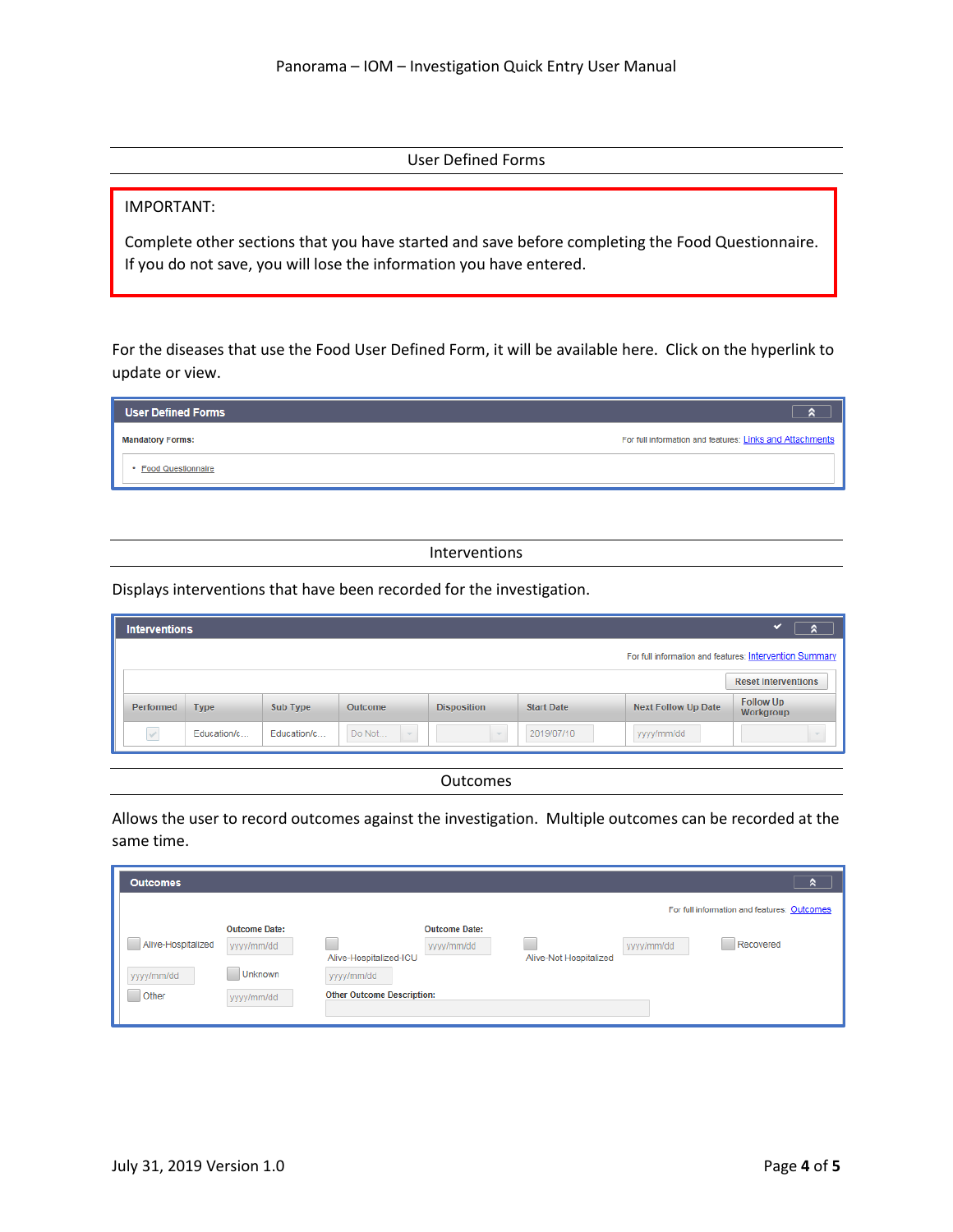User Defined Forms

IMPORTANT:

Complete other sections that you have started and save before completing the Food Questionnaire. If you do not save, you will lose the information you have entered.

For the diseases that use the Food User Defined Form, it will be available here. Click on the hyperlink to update or view.

| <b>User Defined Forms</b> |                                                          |
|---------------------------|----------------------------------------------------------|
| <b>Mandatory Forms:</b>   | For full information and features: Links and Attachments |
| <b>Food Questionnaire</b> |                                                          |

## Interventions

Displays interventions that have been recorded for the investigation.

| <b>Interventions</b> |             |             |                  |                    |                   |                            | a                                                       |
|----------------------|-------------|-------------|------------------|--------------------|-------------------|----------------------------|---------------------------------------------------------|
|                      |             |             |                  |                    |                   |                            | For full information and features: Intervention Summary |
|                      |             |             |                  |                    |                   |                            | <b>Reset Interventions</b>                              |
| Performed            | <b>Type</b> | Sub Type    | <b>Outcome</b>   | <b>Disposition</b> | <b>Start Date</b> | <b>Next Follow Up Date</b> | <b>Follow Up</b><br>Workgroup                           |
| $\checkmark$         | Education/c | Education/c | Do Not<br>$\sim$ |                    | 2019/07/10        | yyyy/mm/dd                 |                                                         |

|  |  | Outcomes |  |
|--|--|----------|--|
|--|--|----------|--|

Allows the user to record outcomes against the investigation. Multiple outcomes can be recorded at the same time.

| <b>Outcomes</b>    |                      |                                   |                      |                        |            | я                                           |
|--------------------|----------------------|-----------------------------------|----------------------|------------------------|------------|---------------------------------------------|
|                    |                      |                                   |                      |                        |            | For full information and features: Outcomes |
|                    | <b>Outcome Date:</b> |                                   | <b>Outcome Date:</b> |                        |            |                                             |
| Alive-Hospitalized | yyyy/mm/dd           |                                   | yyyy/mm/dd           |                        | yyyy/mm/dd | Recovered                                   |
|                    |                      | Alive-Hospitalized-ICU            |                      | Alive-Not Hospitalized |            |                                             |
| yyyy/mm/dd         | Unknown              | yyyy/mm/dd                        |                      |                        |            |                                             |
| Other              | yyyy/mm/dd           | <b>Other Outcome Description:</b> |                      |                        |            |                                             |
|                    |                      |                                   |                      |                        |            |                                             |
|                    |                      |                                   |                      |                        |            |                                             |